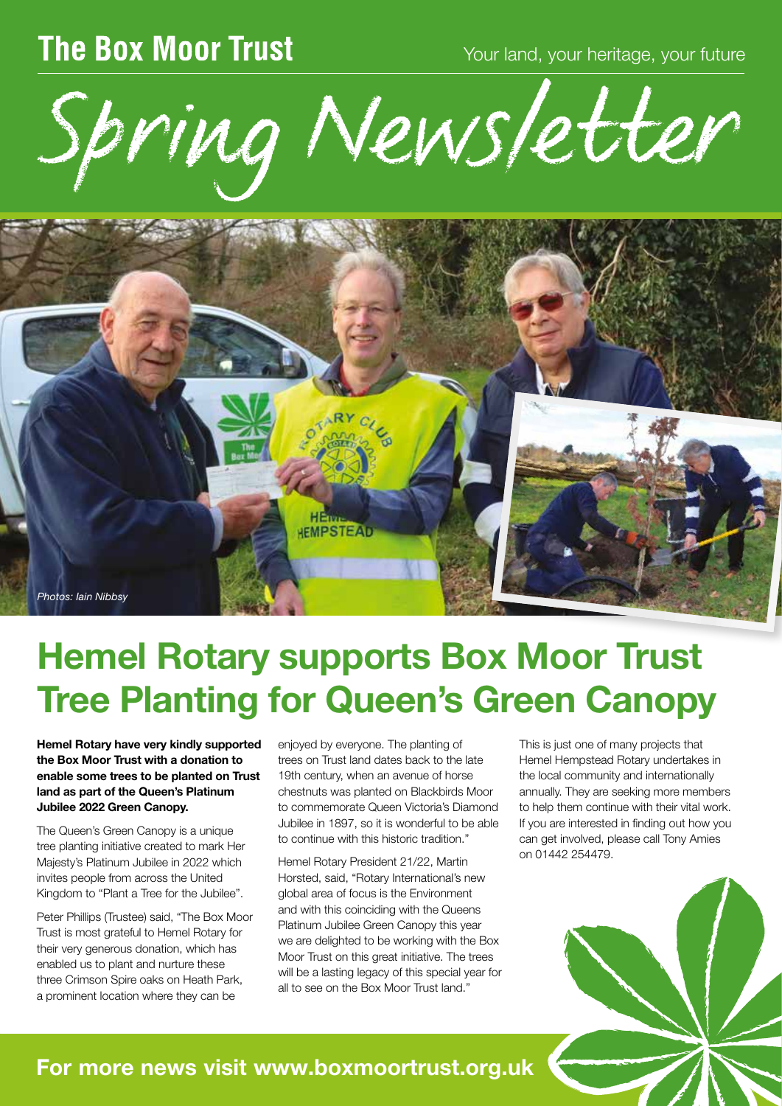## **The Box Moor Trust**

Your land, your heritage, your future

Spring Newsletter



# Hemel Rotary supports Box Moor Trust Tree Planting for Queen's Green Canopy

Hemel Rotary have very kindly supported the Box Moor Trust with a donation to enable some trees to be planted on Trust land as part of the Queen's Platinum Jubilee 2022 Green Canopy.

The Queen's Green Canopy is a unique tree planting initiative created to mark Her Majesty's Platinum Jubilee in 2022 which invites people from across the United Kingdom to "Plant a Tree for the Jubilee".

Peter Phillips (Trustee) said, "The Box Moor Trust is most grateful to Hemel Rotary for their very generous donation, which has enabled us to plant and nurture these three Crimson Spire oaks on Heath Park, a prominent location where they can be

enjoyed by everyone. The planting of trees on Trust land dates back to the late 19th century, when an avenue of horse chestnuts was planted on Blackbirds Moor to commemorate Queen Victoria's Diamond Jubilee in 1897, so it is wonderful to be able to continue with this historic tradition."

Hemel Rotary President 21/22, Martin Horsted, said, "Rotary International's new global area of focus is the Environment and with this coinciding with the Queens Platinum Jubilee Green Canopy this year we are delighted to be working with the Box Moor Trust on this great initiative. The trees will be a lasting legacy of this special year for all to see on the Box Moor Trust land."

This is just one of many projects that Hemel Hempstead Rotary undertakes in the local community and internationally annually. They are seeking more members to help them continue with their vital work. If you are interested in finding out how you can get involved, please call Tony Amies on 01442 254479.



### For more news visit www.boxmoortrust.org.uk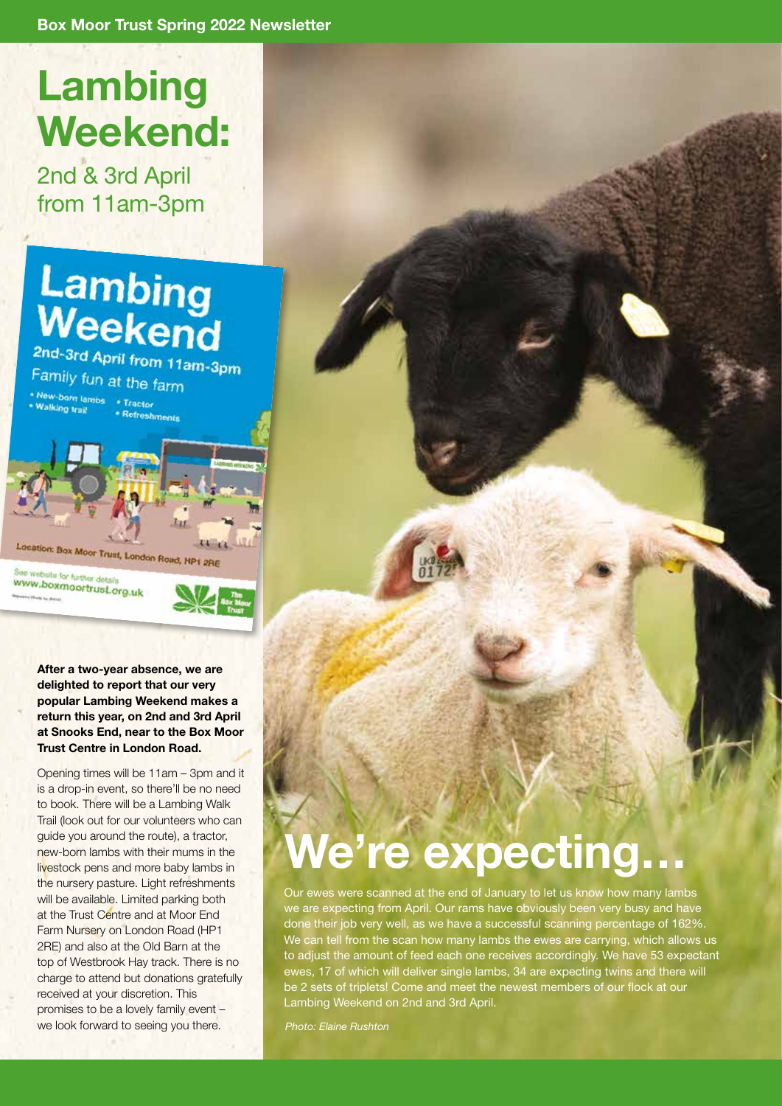# Lambing Weekend:

2nd & 3rd April from 11am-3pm

# Lambing Weekend

2nd-3rd April from 11am-3pm Family fun at the farm \* New-born lambs \* Tractor **Walking trail** \* Refreshments Location: Box Moor Trust, London Road, HP1 2RE o for furth WWW.boxmoortrust.org.uk

After a two-year absence, we are delighted to report that our very popular Lambing Weekend makes a return this year, on 2nd and 3rd April at Snooks End, near to the Box Moor Trust Centre in London Road.

Opening times will be 11am – 3pm and it is a drop-in event, so there'll be no need to book. There will be a Lambing Walk Trail (look out for our volunteers who can guide you around the route), a tractor, new-born lambs with their mums in the livestock pens and more baby lambs in the nursery pasture. Light refreshments will be available. Limited parking both at the Trust Centre and at Moor End Farm Nursery on London Road (HP1 2RE) and also at the Old Barn at the top of Westbrook Hay track. There is no charge to attend but donations gratefully received at your discretion. This promises to be a lovely family event – we look forward to seeing you there.

# We're expecting…

Our ewes were scanned at the end of January to let us know how many lambs we are expecting from April. Our rams have obviously been very busy and have done their job very well, as we have a successful scanning percentage of 162%. We can tell from the scan how many lambs the ewes are carrying, which allows us to adjust the amount of feed each one receives accordingly. We have 53 expectant ewes, 17 of which will deliver single lambs, 34 are expecting twins and there will be 2 sets of triplets! Come and meet the newest members of our flock at our Lambing Weekend on 2nd and 3rd April.

*Photo: Elaine Rushton*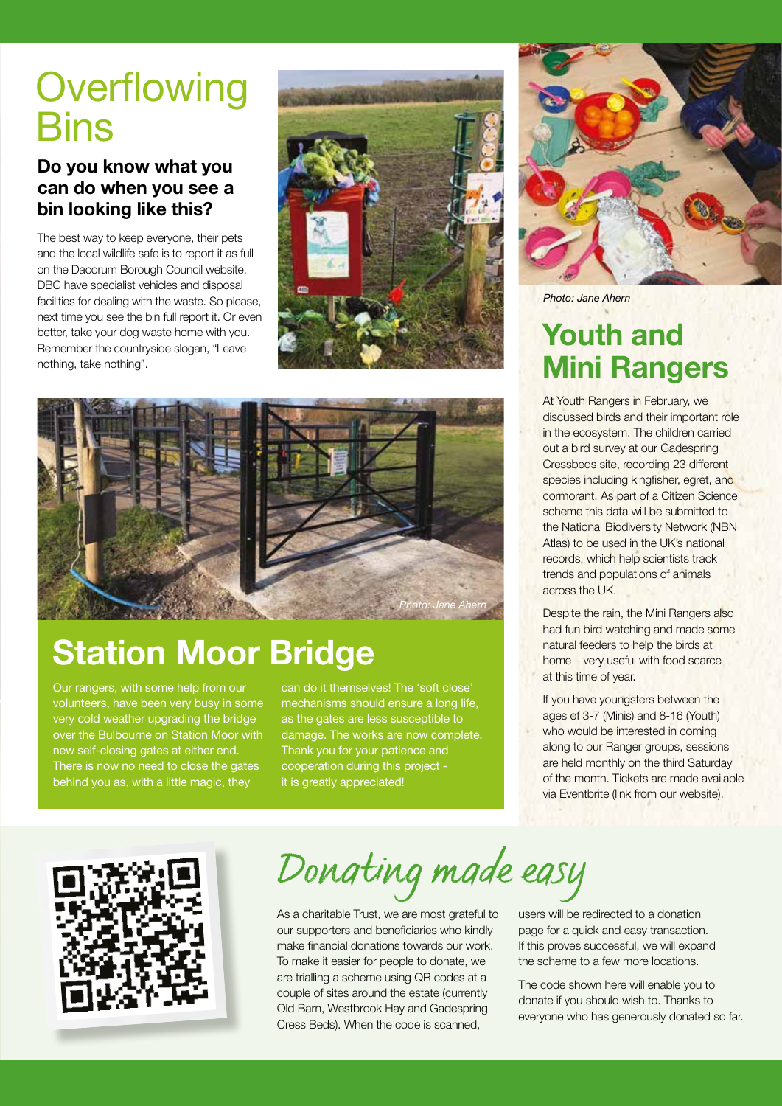## **Overflowing Bins**

#### Do you know what you can do when you see a bin looking like this?

The best way to keep everyone, their pets and the local wildlife safe is to report it as full on the Dacorum Borough Council website. DBC have specialist vehicles and disposal facilities for dealing with the waste. So please, next time you see the bin full report it. Or even better, take your dog waste home with you. Remember the countryside slogan, "Leave nothing, take nothing".





## Station Moor Bridge

Our rangers, with some help from our volunteers, have been very busy in some very cold weather upgrading the bridge over the Bulbourne on Station Moor with new self-closing gates at either end. There is now no need to close the gates behind you as, with a little magic, they

can do it themselves! The 'soft close' mechanisms should ensure a long life, as the gates are less susceptible to damage. The works are now complete. Thank you for your patience and cooperation during this project it is greatly appreciated!



*Photo: Jane Ahern*

### Youth and Mini Rangers

At Youth Rangers in February, we discussed birds and their important role in the ecosystem. The children carried out a bird survey at our Gadespring Cressbeds site, recording 23 different species including kingfisher, egret, and cormorant. As part of a Citizen Science scheme this data will be submitted to the National Biodiversity Network (NBN Atlas) to be used in the UK's national records, which help scientists track trends and populations of animals across the UK.

Despite the rain, the Mini Rangers also had fun bird watching and made some natural feeders to help the birds at home – very useful with food scarce at this time of year.

If you have youngsters between the ages of 3-7 (Minis) and 8-16 (Youth) who would be interested in coming along to our Ranger groups, sessions are held monthly on the third Saturday of the month. Tickets are made available via Eventbrite (link from our website).



*Donating made easy*

As a charitable Trust, we are most grateful to our supporters and beneficiaries who kindly make financial donations towards our work. To make it easier for people to donate, we are trialling a scheme using QR codes at a couple of sites around the estate (currently Old Barn, Westbrook Hay and Gadespring Cress Beds). When the code is scanned,

users will be redirected to a donation page for a quick and easy transaction. If this proves successful, we will expand the scheme to a few more locations.

The code shown here will enable you to donate if you should wish to. Thanks to everyone who has generously donated so far.